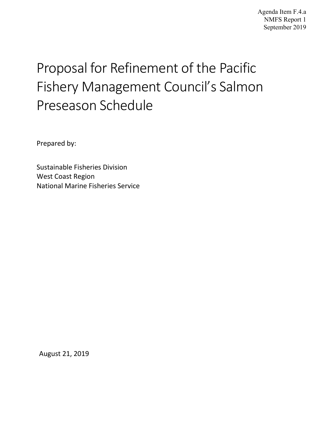# Proposal for Refinement of the Pacific Fishery Management Council's Salmon Preseason Schedule

Prepared by:

Sustainable Fisheries Division West Coast Region National Marine Fisheries Service

August 21, 2019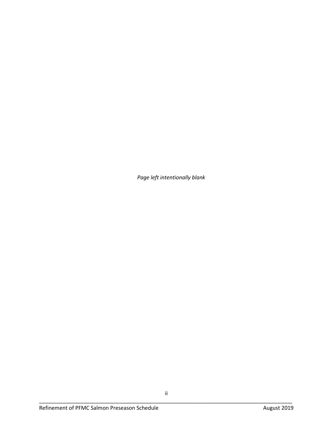*Page left intentionally blank*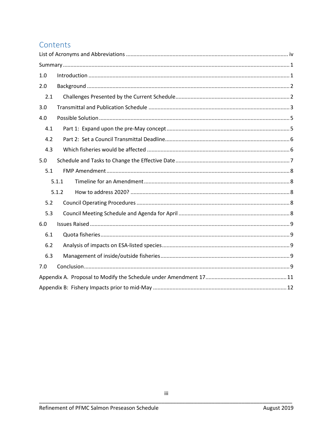## Contents

| 1.0 |       |  |  |
|-----|-------|--|--|
| 2.0 |       |  |  |
| 2.1 |       |  |  |
| 3.0 |       |  |  |
| 4.0 |       |  |  |
| 4.1 |       |  |  |
| 4.2 |       |  |  |
| 4.3 |       |  |  |
| 5.0 |       |  |  |
| 5.1 |       |  |  |
|     | 5.1.1 |  |  |
|     | 5.1.2 |  |  |
| 5.2 |       |  |  |
| 5.3 |       |  |  |
| 6.0 |       |  |  |
| 6.1 |       |  |  |
| 6.2 |       |  |  |
| 6.3 |       |  |  |
| 7.0 |       |  |  |
|     |       |  |  |
|     |       |  |  |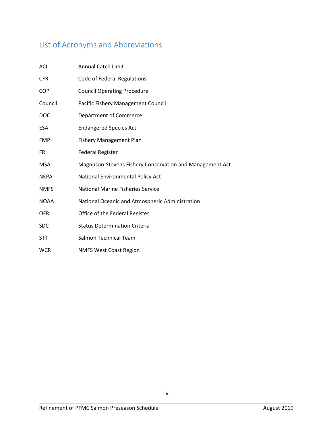## <span id="page-3-0"></span>List of Acronyms and Abbreviations

| <b>ACL</b>  | <b>Annual Catch Limit</b>                                |  |  |
|-------------|----------------------------------------------------------|--|--|
| <b>CFR</b>  | Code of Federal Regulations                              |  |  |
| <b>COP</b>  | <b>Council Operating Procedure</b>                       |  |  |
| Council     | Pacific Fishery Management Council                       |  |  |
| <b>DOC</b>  | Department of Commerce                                   |  |  |
| <b>ESA</b>  | <b>Endangered Species Act</b>                            |  |  |
| <b>FMP</b>  | <b>Fishery Management Plan</b>                           |  |  |
| <b>FR</b>   | <b>Federal Register</b>                                  |  |  |
| <b>MSA</b>  | Magnuson-Stevens Fishery Conservation and Management Act |  |  |
| <b>NEPA</b> | National Environmental Policy Act                        |  |  |
| <b>NMFS</b> | <b>National Marine Fisheries Service</b>                 |  |  |
| <b>NOAA</b> | National Oceanic and Atmospheric Administration          |  |  |
| <b>OFR</b>  | Office of the Federal Register                           |  |  |
| <b>SDC</b>  | <b>Status Determination Criteria</b>                     |  |  |
| <b>STT</b>  | Salmon Technical Team                                    |  |  |
| <b>WCR</b>  | <b>NMFS West Coast Region</b>                            |  |  |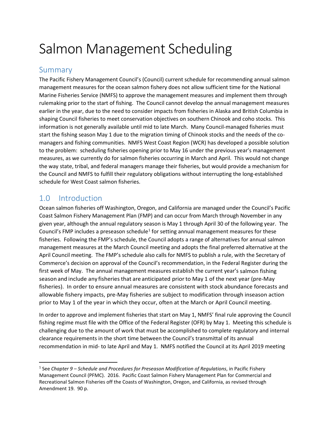## Salmon Management Scheduling

#### <span id="page-4-0"></span>Summary

The Pacific Fishery Management Council's (Council) current schedule for recommending annual salmon management measures for the ocean salmon fishery does not allow sufficient time for the National Marine Fisheries Service (NMFS) to approve the management measures and implement them through rulemaking prior to the start of fishing. The Council cannot develop the annual management measures earlier in the year, due to the need to consider impacts from fisheries in Alaska and British Columbia in shaping Council fisheries to meet conservation objectives on southern Chinook and coho stocks. This information is not generally available until mid to late March. Many Council-managed fisheries must start the fishing season May 1 due to the migration timing of Chinook stocks and the needs of the comanagers and fishing communities. NMFS West Coast Region (WCR) has developed a possible solution to the problem: scheduling fisheries opening prior to May 16 under the previous year's management measures, as we currently do for salmon fisheries occurring in March and April. This would not change the way state, tribal, and federal managers manage their fisheries, but would provide a mechanism for the Council and NMFS to fulfill their regulatory obligations without interrupting the long-established schedule for West Coast salmon fisheries.

## <span id="page-4-1"></span>1.0 Introduction

Ocean salmon fisheries off Washington, Oregon, and California are managed under the Council's Pacific Coast Salmon Fishery Management Plan (FMP) and can occur from March through November in any given year, although the annual regulatory season is May 1 through April 30 of the following year. The Council's FMP includes a preseason schedule<sup>[1](#page-4-2)</sup> for setting annual management measures for these fisheries. Following the FMP's schedule, the Council adopts a range of alternatives for annual salmon management measures at the March Council meeting and adopts the final preferred alternative at the April Council meeting. The FMP's schedule also calls for NMFS to publish a rule, with the Secretary of Commerce's decision on approval of the Council's recommendation, in the Federal Register during the first week of May. The annual management measures establish the current year's salmon fishing season and include any fisheries that are anticipated prior to May 1 of the next year (pre-May fisheries). In order to ensure annual measures are consistent with stock abundance forecasts and allowable fishery impacts, pre-May fisheries are subject to modification through inseason action prior to May 1 of the year in which they occur, often at the March or April Council meeting.

In order to approve and implement fisheries that start on May 1, NMFS' final rule approving the Council fishing regime must file with the Office of the Federal Register (OFR) by May 1. Meeting this schedule is challenging due to the amount of work that must be accomplished to complete regulatory and internal clearance requirements in the short time between the Council's transmittal of its annual recommendation in mid- to late April and May 1. NMFS notified the Council at its April 2019 meeting

<span id="page-4-2"></span> <sup>1</sup> See *Chapter 9 – Schedule and Procedures for Preseason Modification of Regulations*, in Pacific Fishery Management Council (PFMC). 2016. Pacific Coast Salmon Fishery Management Plan for Commercial and Recreational Salmon Fisheries off the Coasts of Washington, Oregon, and California, as revised through Amendment 19. 90 p.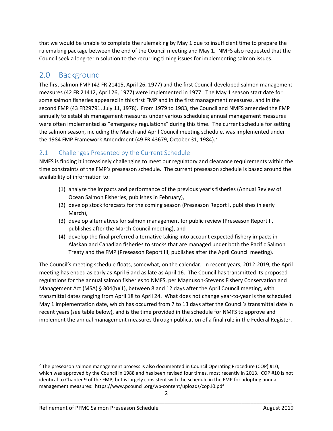that we would be unable to complete the rulemaking by May 1 due to insufficient time to prepare the rulemaking package between the end of the Council meeting and May 1. NMFS also requested that the Council seek a long-term solution to the recurring timing issues for implementing salmon issues.

## <span id="page-5-0"></span>2.0 Background

The first salmon FMP (42 FR 21415, April 26, 1977) and the first Council-developed salmon management measures (42 FR 21412, April 26, 1977) were implemented in 1977. The May 1 season start date for some salmon fisheries appeared in this first FMP and in the first management measures, and in the second FMP (43 FR29791, July 11, 1978). From 1979 to 1983, the Council and NMFS amended the FMP annually to establish management measures under various schedules; annual management measures were often implemented as "emergency regulations" during this time. The current schedule for setting the salmon season, including the March and April Council meeting schedule, was implemented under the 1984 FMP Framework Amendment (49 FR 43679, October 31, 1984). $^2$  $^2$ 

#### <span id="page-5-1"></span>2.1 Challenges Presented by the Current Schedule

NMFS is finding it increasingly challenging to meet our regulatory and clearance requirements within the time constraints of the FMP's preseason schedule. The current preseason schedule is based around the availability of information to:

- (1) analyze the impacts and performance of the previous year's fisheries (Annual Review of Ocean Salmon Fisheries, publishes in February),
- (2) develop stock forecasts for the coming season (Preseason Report I, publishes in early March),
- (3) develop alternatives for salmon management for public review (Preseason Report II, publishes after the March Council meeting), and
- (4) develop the final preferred alternative taking into account expected fishery impacts in Alaskan and Canadian fisheries to stocks that are managed under both the Pacific Salmon Treaty and the FMP (Preseason Report III, publishes after the April Council meeting).

The Council's meeting schedule floats, somewhat, on the calendar. In recent years, 2012-2019, the April meeting has ended as early as April 6 and as late as April 16. The Council has transmitted its proposed regulations for the annual salmon fisheries to NMFS, per Magnuson-Stevens Fishery Conservation and Management Act (MSA) § 304(b)(1), between 8 and 12 days after the April Council meeting, with transmittal dates ranging from April 18 to April 24. What does not change year-to-year is the scheduled May 1 implementation date, which has occurred from 7 to 13 days after the Council's transmittal date in recent years (see table below), and is the time provided in the schedule for NMFS to approve and implement the annual management measures through publication of a final rule in the Federal Register.

<span id="page-5-2"></span> <sup>2</sup> The preseason salmon management process is also documented in Council Operating Procedure (COP) #10, which was approved by the Council in 1988 and has been revised four times, most recently in 2013. COP #10 is not identical to Chapter 9 of the FMP, but is largely consistent with the schedule in the FMP for adopting annual management measures: https://www.pcouncil.org/wp-content/uploads/cop10.pdf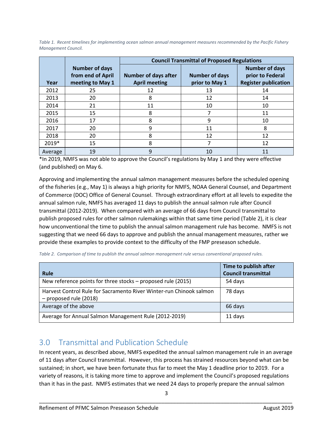*Table 1. Recent timelines for implementing ocean salmon annual management measures recommended by the Pacific Fishery Management Council.*

|         |                                                                | <b>Council Transmittal of Proposed Regulations</b>  |                                         |                                                                          |
|---------|----------------------------------------------------------------|-----------------------------------------------------|-----------------------------------------|--------------------------------------------------------------------------|
| Year    | <b>Number of days</b><br>from end of April<br>meeting to May 1 | <b>Number of days after</b><br><b>April meeting</b> | <b>Number of days</b><br>prior to May 1 | <b>Number of days</b><br>prior to Federal<br><b>Register publication</b> |
| 2012    | 25                                                             | 12                                                  | 13                                      | 14                                                                       |
| 2013    | 20                                                             | 8                                                   | 12                                      | 14                                                                       |
| 2014    | 21                                                             | 11                                                  | 10                                      | 10                                                                       |
| 2015    | 15                                                             | 8                                                   |                                         | 11                                                                       |
| 2016    | 17                                                             | 8                                                   | 9                                       | 10                                                                       |
| 2017    | 20                                                             | 9                                                   | 11                                      | 8                                                                        |
| 2018    | 20                                                             | 8                                                   | 12                                      | 12                                                                       |
| 2019*   | 15                                                             | 8                                                   |                                         | 12                                                                       |
| Average | 19                                                             | 9                                                   | 10                                      | 11                                                                       |

\*In 2019, NMFS was not able to approve the Council's regulations by May 1 and they were effective (and published) on May 6.

Approving and implementing the annual salmon management measures before the scheduled opening of the fisheries (e.g., May 1) is always a high priority for NMFS, NOAA General Counsel, and Department of Commerce (DOC) Office of General Counsel. Through extraordinary effort at all levels to expedite the annual salmon rule, NMFS has averaged 11 days to publish the annual salmon rule after Council transmittal (2012-2019). When compared with an average of 66 days from Council transmittal to publish proposed rules for other salmon rulemakings within that same time period (Table 2), it is clear how unconventional the time to publish the annual salmon management rule has become. NMFS is not suggesting that we need 66 days to approve and publish the annual management measures, rather we provide these examples to provide context to the difficulty of the FMP preseason schedule.

*Table 2. Comparison of time to publish the annual salmon management rule versus conventional proposed rules.*

| Rule                                                                                          | Time to publish after<br><b>Council transmittal</b> |
|-----------------------------------------------------------------------------------------------|-----------------------------------------------------|
| New reference points for three stocks - proposed rule (2015)                                  | 54 days                                             |
| Harvest Control Rule for Sacramento River Winter-run Chinook salmon<br>- proposed rule (2018) | 78 days                                             |
| Average of the above                                                                          | 66 days                                             |
| Average for Annual Salmon Management Rule (2012-2019)                                         | 11 days                                             |

## <span id="page-6-0"></span>3.0 Transmittal and Publication Schedule

In recent years, as described above, NMFS expedited the annual salmon management rule in an average of 11 days after Council transmittal. However, this process has strained resources beyond what can be sustained; in short, we have been fortunate thus far to meet the May 1 deadline prior to 2019. For a variety of reasons, it is taking more time to approve and implement the Council's proposed regulations than it has in the past. NMFS estimates that we need 24 days to properly prepare the annual salmon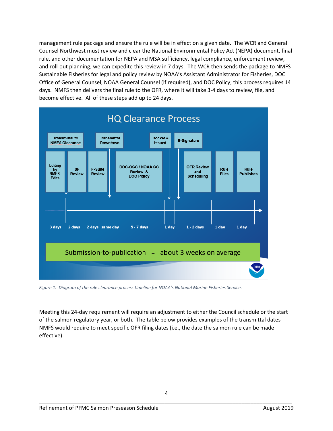management rule package and ensure the rule will be in effect on a given date. The WCR and General Counsel Northwest must review and clear the National Environmental Policy Act (NEPA) document, final rule, and other documentation for NEPA and MSA sufficiency, legal compliance, enforcement review, and roll-out planning; we can expedite this review in 7 days. The WCR then sends the package to NMFS Sustainable Fisheries for legal and policy review by NOAA's Assistant Administrator for Fisheries, DOC Office of General Counsel, NOAA General Counsel (if required), and DOC Policy; this process requires 14 days. NMFS then delivers the final rule to the OFR, where it will take 3-4 days to review, file, and become effective. All of these steps add up to 24 days.



*Figure 1. Diagram of the rule clearance process timeline for NOAA's National Marine Fisheries Service.*

Meeting this 24-day requirement will require an adjustment to either the Council schedule or the start of the salmon regulatory year, or both. The table below provides examples of the transmittal dates NMFS would require to meet specific OFR filing dates (i.e., the date the salmon rule can be made effective).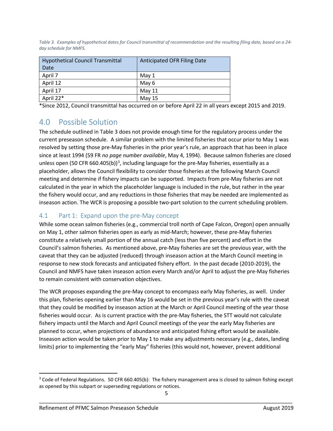*Table 3. Examples of hypothetical dates for Council transmittal of recommendation and the resulting filing date, based on a 24 day schedule for NMFS.*

| <b>Hypothetical Council Transmittal</b><br>Date | <b>Anticipated OFR Filing Date</b> |
|-------------------------------------------------|------------------------------------|
| April 7                                         | May 1                              |
| April 12                                        | May 6                              |
| April 17                                        | May 11                             |
| April 22*                                       | May 15                             |

\*Since 2012, Council transmittal has occurred on or before April 22 in all years except 2015 and 2019.

### <span id="page-8-0"></span>4.0 Possible Solution

The schedule outlined in Table 3 does not provide enough time for the regulatory process under the current preseason schedule. A similar problem with the limited fisheries that occur prior to May 1 was resolved by setting those pre-May fisheries in the prior year's rule, an approach that has been in place since at least 1994 (59 FR *no page number available*, May 4, 1994). Because salmon fisheries are closed unless open (50 CFR 660.405(b))<sup>[3](#page-8-2)</sup>, including language for the pre-May fisheries, essentially as a placeholder, allows the Council flexibility to consider those fisheries at the following March Council meeting and determine if fishery impacts can be supported. Impacts from pre-May fisheries are not calculated in the year in which the placeholder language is included in the rule, but rather in the year the fishery would occur, and any reductions in those fisheries that may be needed are implemented as inseason action. The WCR is proposing a possible two-part solution to the current scheduling problem.

#### <span id="page-8-1"></span>4.1 Part 1: Expand upon the pre-May concept

While some ocean salmon fisheries (e.g., commercial troll north of Cape Falcon, Oregon) open annually on May 1, other salmon fisheries open as early as mid-March; however, these pre-May fisheries constitute a relatively small portion of the annual catch (less than five percent) and effort in the Council's salmon fisheries. As mentioned above, pre-May fisheries are set the previous year, with the caveat that they can be adjusted (reduced) through inseason action at the March Council meeting in response to new stock forecasts and anticipated fishery effort. In the past decade (2010-2019), the Council and NMFS have taken inseason action every March and/or April to adjust the pre-May fisheries to remain consistent with conservation objectives.

The WCR proposes expanding the pre-May concept to encompass early May fisheries, as well. Under this plan, fisheries opening earlier than May 16 would be set in the previous year's rule with the caveat that they could be modified by inseason action at the March or April Council meeting of the year those fisheries would occur. As is current practice with the pre-May fisheries, the STT would not calculate fishery impacts until the March and April Council meetings of the year the early May fisheries are planned to occur, when projections of abundance and anticipated fishing effort would be available. Inseason action would be taken prior to May 1 to make any adjustments necessary (e.g., dates, landing limits) prior to implementing the "early May" fisheries (this would not, however, prevent additional

<span id="page-8-2"></span> $3$  Code of Federal Regulations. 50 CFR 660.405(b): The fishery management area is closed to salmon fishing except as opened by this subpart or superseding regulations or notices.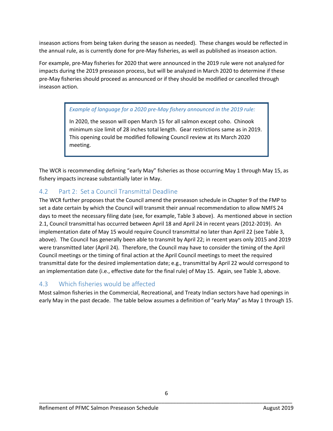inseason actions from being taken during the season as needed). These changes would be reflected in the annual rule, as is currently done for pre-May fisheries, as well as published as inseason action.

For example, pre-May fisheries for 2020 that were announced in the 2019 rule were not analyzed for impacts during the 2019 preseason process, but will be analyzed in March 2020 to determine if these pre-May fisheries should proceed as announced or if they should be modified or cancelled through inseason action.

*Example of language for a 2020 pre-May fishery announced in the 2019 rule:*

In 2020, the season will open March 15 for all salmon except coho. Chinook minimum size limit of 28 inches total length. Gear restrictions same as in 2019. This opening could be modified following Council review at its March 2020 meeting.

The WCR is recommending defining "early May" fisheries as those occurring May 1 through May 15, as fishery impacts increase substantially later in May.

#### <span id="page-9-0"></span>4.2 Part 2: Set a Council Transmittal Deadline

The WCR further proposes that the Council amend the preseason schedule in Chapter 9 of the FMP to set a date certain by which the Council will transmit their annual recommendation to allow NMFS 24 days to meet the necessary filing date (see, for example, Table 3 above). As mentioned above in section 2.1, Council transmittal has occurred between April 18 and April 24 in recent years (2012-2019). An implementation date of May 15 would require Council transmittal no later than April 22 (see Table 3, above). The Council has generally been able to transmit by April 22; in recent years only 2015 and 2019 were transmitted later (April 24). Therefore, the Council may have to consider the timing of the April Council meetings or the timing of final action at the April Council meetings to meet the required transmittal date for the desired implementation date; e.g., transmittal by April 22 would correspond to an implementation date (i.e., effective date for the final rule) of May 15. Again, see Table 3, above.

#### <span id="page-9-1"></span>4.3 Which fisheries would be affected

Most salmon fisheries in the Commercial, Recreational, and Treaty Indian sectors have had openings in early May in the past decade. The table below assumes a definition of "early May" as May 1 through 15.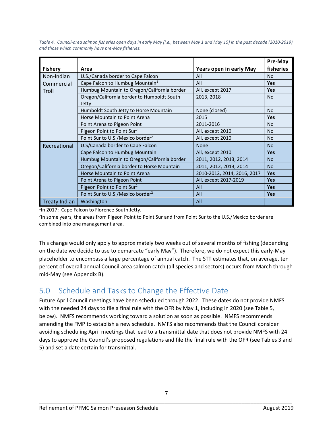|                |                                              |                             | Pre-May    |
|----------------|----------------------------------------------|-----------------------------|------------|
| <b>Fishery</b> | Area                                         | Years open in early May     | fisheries  |
| Non-Indian     | U.S./Canada border to Cape Falcon            | All                         | <b>No</b>  |
| Commercial     | Cape Falcon to Humbug Mountain <sup>1</sup>  | All                         | <b>Yes</b> |
| Troll          | Humbug Mountain to Oregon/California border  | All, except 2017            | <b>Yes</b> |
|                | Oregon/California border to Humboldt South   | 2013, 2018                  | <b>No</b>  |
|                | Jetty                                        |                             |            |
|                | Humboldt South Jetty to Horse Mountain       | None (closed)               | <b>No</b>  |
|                | Horse Mountain to Point Arena                | 2015                        | <b>Yes</b> |
|                | Point Arena to Pigeon Point                  | 2011-2016                   | <b>No</b>  |
|                | Pigeon Point to Point Sur <sup>2</sup>       | All, except 2010            | <b>No</b>  |
|                | Point Sur to U.S./Mexico border <sup>2</sup> | All, except 2010            | No         |
| Recreational   | U.S/Canada border to Cape Falcon             | <b>None</b>                 | <b>No</b>  |
|                | Cape Falcon to Humbug Mountain               | All, except 2010            | <b>Yes</b> |
|                | Humbug Mountain to Oregon/California border  | 2011, 2012, 2013, 2014      | <b>No</b>  |
|                | Oregon/California border to Horse Mountain   | 2011, 2012, 2013, 2014      | <b>No</b>  |
|                | <b>Horse Mountain to Point Arena</b>         | 2010-2012, 2014, 2016, 2017 | <b>Yes</b> |
|                | Point Arena to Pigeon Point                  | All, except 2017-2019       | <b>Yes</b> |
|                | Pigeon Point to Point Sur <sup>2</sup>       | All                         | <b>Yes</b> |
|                | Point Sur to U.S./Mexico border <sup>2</sup> | All                         | <b>Yes</b> |
| Treaty Indian  | Washington                                   | All                         |            |

*Table 4. Council-area salmon fisheries open days in early May (i.e., between May 1 and May 15) in the past decade (2010-2019) and those which commonly have pre-May fisheries.* 

<sup>1</sup>In 2017: Cape Falcon to Florence South Jetty.

<sup>2</sup>In some years, the areas from Pigeon Point to Point Sur and from Point Sur to the U.S./Mexico border are combined into one management area.

This change would only apply to approximately two weeks out of several months of fishing (depending on the date we decide to use to demarcate "early May"). Therefore, we do not expect this early-May placeholder to encompass a large percentage of annual catch. The STT estimates that, on average, ten percent of overall annual Council-area salmon catch (all species and sectors) occurs from March through mid-May (see Appendix B).

## <span id="page-10-0"></span>5.0 Schedule and Tasks to Change the Effective Date

Future April Council meetings have been scheduled through 2022. These dates do not provide NMFS with the needed 24 days to file a final rule with the OFR by May 1, including in 2020 (see Table 5, below). NMFS recommends working toward a solution as soon as possible. NMFS recommends amending the FMP to establish a new schedule. NMFS also recommends that the Council consider avoiding scheduling April meetings that lead to a transmittal date that does not provide NMFS with 24 days to approve the Council's proposed regulations and file the final rule with the OFR (see Tables 3 and 5) and set a date certain for transmittal.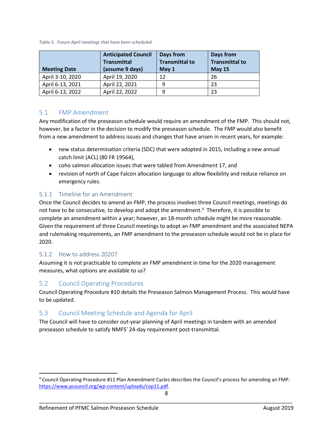#### *Table 5. Future April meetings that have been scheduled.*

| <b>Meeting Date</b> | <b>Anticipated Council</b><br><b>Transmittal</b><br>(assume 9 days) | Days from<br><b>Transmittal to</b><br>May $1$ | Days from<br><b>Transmittal to</b><br>May $15$ |
|---------------------|---------------------------------------------------------------------|-----------------------------------------------|------------------------------------------------|
| April 3-10, 2020    | April 19, 2020                                                      | 12                                            | 26                                             |
| April 6-13, 2021    | April 22, 2021                                                      | 9                                             | 23                                             |
| April 6-13, 2022    | April 22, 2022                                                      | 9                                             | 23                                             |

#### <span id="page-11-0"></span>5.1 FMP Amendment

Any modification of the preseason schedule would require an amendment of the FMP. This should not, however, be a factor in the decision to modify the preseason schedule. The FMP would also benefit from a new amendment to address issues and changes that have arisen in recent years, for example:

- new status determination criteria (SDC) that were adopted in 2015, including a new annual catch limit (ACL) (80 FR 19564),
- coho salmon allocation issues that were tabled from Amendment 17, and
- revision of north of Cape Falcon allocation language to allow flexibility and reduce reliance on emergency rules.

#### <span id="page-11-1"></span>5.1.1 Timeline for an Amendment

Once the Council decides to amend an FMP, the process involves three Council meetings, meetings do not have to be consecutive, to develop and adopt the amendment.<sup>[4](#page-11-5)</sup> Therefore, it is possible to complete an amendment within a year; however, an 18-month schedule might be more reasonable. Given the requirement of three Council meetings to adopt an FMP amendment and the associated NEPA and rulemaking requirements, an FMP amendment to the preseason schedule would not be in place for 2020.

#### <span id="page-11-2"></span>5.1.2 How to address 2020?

Assuming it is not practicable to complete an FMP amendment in time for the 2020 management measures, what options are available to us?

#### <span id="page-11-3"></span>5.2 Council Operating Procedures

Council Operating Procedure #10 details the Preseason Salmon Management Process. This would have to be updated.

#### <span id="page-11-4"></span>5.3 Council Meeting Schedule and Agenda for April

The Council will have to consider out-year planning of April meetings in tandem with an amended preseason schedule to satisfy NMFS' 24-day requirement post-transmittal.

<span id="page-11-5"></span> <sup>4</sup> Council Operating Procedure #11 Plan Amendment Cycles describes the Council's process for amending an FMP: [https://www.pcouncil.org/wp-content/uploads/cop11.pdf.](https://www.pcouncil.org/wp-content/uploads/cop11.pdf)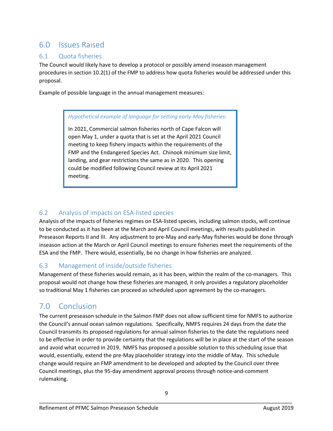## <span id="page-12-0"></span>6.0 Issues Raised

#### <span id="page-12-1"></span>6.1 Quota fisheries

The Council would likely have to develop a protocol or possibly amend inseason management procedures in section 10.2(1) of the FMP to address how quota fisheries would be addressed under this proposal.

Example of possible language in the annual management measures:

#### *Hypothetical example of language for setting early-May fisheries:*

In 2021, Commercial salmon fisheries north of Cape Falcon will open May 1, under a quota that is set at the April 2021 Council meeting to keep fishery impacts within the requirements of the FMP and the Endangered Species Act. Chinook minimum size limit, landing, and gear restrictions the same as in 2020. This opening could be modified following Council review at its April 2021 meeting.

#### <span id="page-12-2"></span>6.2 Analysis of impacts on ESA-listed species

Analysis of the impacts of fisheries regimes on ESA-listed species, including salmon stocks, will continue to be conducted as it has been at the March and April Council meetings, with results published in Preseason Reports II and III. Any adjustment to pre-May and early-May fisheries would be done through inseason action at the March or April Council meetings to ensure fisheries meet the requirements of the ESA and the FMP. There would, essentially, be no change in how fisheries are analyzed.

#### <span id="page-12-3"></span>6.3 Management of inside/outside fisheries

Management of these fisheries would remain, as it has been, within the realm of the co-managers. This proposal would not change how these fisheries are managed, it only provides a regulatory placeholder so traditional May 1 fisheries can proceed as scheduled upon agreement by the co-managers.

## <span id="page-12-4"></span>7.0 Conclusion

The current preseason schedule in the Salmon FMP does not allow sufficient time for NMFS to authorize the Council's annual ocean salmon regulations. Specifically, NMFS requires 24 days from the date the Council transmits its proposed regulations for annual salmon fisheries to the date the regulations need to be effective in order to provide certainty that the regulations will be in place at the start of the season and avoid what occurred in 2019. NMFS has proposed a possible solution to this scheduling issue that would, essentially, extend the pre-May placeholder strategy into the middle of May. This schedule change would require an FMP amendment to be developed and adopted by the Council over three Council meetings, plus the 95-day amendment approval process through notice-and-comment rulemaking.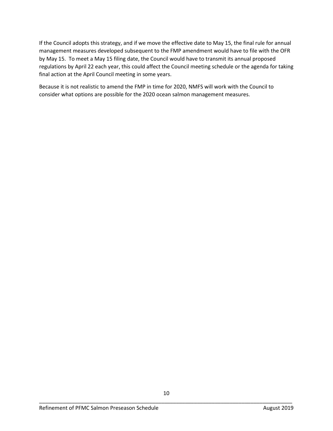If the Council adopts this strategy, and if we move the effective date to May 15, the final rule for annual management measures developed subsequent to the FMP amendment would have to file with the OFR by May 15. To meet a May 15 filing date, the Council would have to transmit its annual proposed regulations by April 22 each year, this could affect the Council meeting schedule or the agenda for taking final action at the April Council meeting in some years.

Because it is not realistic to amend the FMP in time for 2020, NMFS will work with the Council to consider what options are possible for the 2020 ocean salmon management measures.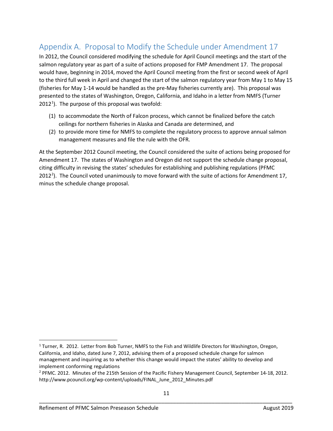## <span id="page-14-0"></span>Appendix A. Proposal to Modify the Schedule under Amendment 17

In 2012, the Council considered modifying the schedule for April Council meetings and the start of the salmon regulatory year as part of a suite of actions proposed for FMP Amendment 17. The proposal would have, beginning in 2014, moved the April Council meeting from the first or second week of April to the third full week in April and changed the start of the salmon regulatory year from May 1 to May 15 (fisheries for May 1-14 would be handled as the pre-May fisheries currently are). This proposal was presented to the states of Washington, Oregon, California, and Idaho in a letter from NMFS (Turner  $2012<sup>1</sup>$  $2012<sup>1</sup>$  $2012<sup>1</sup>$ ). The purpose of this proposal was twofold:

- (1) to accommodate the North of Falcon process, which cannot be finalized before the catch ceilings for northern fisheries in Alaska and Canada are determined, and
- (2) to provide more time for NMFS to complete the regulatory process to approve annual salmon management measures and file the rule with the OFR.

At the September 2012 Council meeting, the Council considered the suite of actions being proposed for Amendment 17. The states of Washington and Oregon did not support the schedule change proposal, citing difficulty in revising the states' schedules for establishing and publishing regulations (PFMC [2](#page-14-2)012<sup>2</sup>). The Council voted unanimously to move forward with the suite of actions for Amendment 17, minus the schedule change proposal.

<span id="page-14-1"></span><sup>&</sup>lt;sup>1</sup> Turner, R. 2012. Letter from Bob Turner, NMFS to the Fish and Wildlife Directors for Washington, Oregon, California, and Idaho, dated June 7, 2012, advising them of a proposed schedule change for salmon management and inquiring as to whether this change would impact the states' ability to develop and implement conforming regulations

<span id="page-14-2"></span><sup>2</sup> PFMC. 2012. Minutes of the 215th Session of the Pacific Fishery Management Council, September 14-18, 2012. http://www.pcouncil.org/wp-content/uploads/FINAL\_June\_2012\_Minutes.pdf